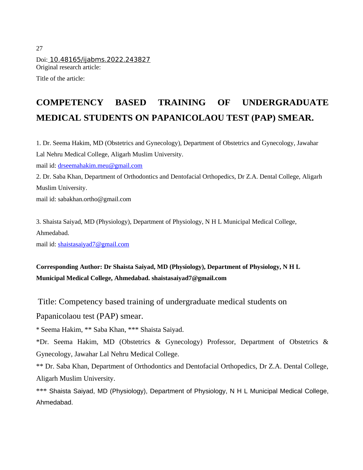27 Doi: 10.48165/ijabms.2022.243827 Original research article: Title of the article:

# **COMPETENCY BASED TRAINING OF UNDERGRADUATE MEDICAL STUDENTS ON PAPANICOLAOU TEST (PAP) SMEAR.**

1. Dr. Seema Hakim, MD (Obstetrics and Gynecology), Department of Obstetrics and Gynecology, Jawahar Lal Nehru Medical College, Aligarh Muslim University.

mail id: [drseemahakim.meu@gmail.com](mailto:drseemahakim.meu@gmail.com)

2. Dr. Saba Khan, Department of Orthodontics and Dentofacial Orthopedics, Dr Z.A. Dental College, Aligarh Muslim University.

mail id: sabakhan.ortho@gmail.com

3. Shaista Saiyad, MD (Physiology), Department of Physiology, N H L Municipal Medical College, Ahmedabad.

mail id: [shaistasaiyad7@gmail.com](mailto:shaistasaiyad7@gmail.com)

# **Corresponding Author: Dr Shaista Saiyad, MD (Physiology), Department of Physiology, N H L Municipal Medical College, Ahmedabad. shaistasaiyad7@gmail.com**

Title: Competency based training of undergraduate medical students on Papanicolaou test (PAP) smear.

\* Seema Hakim, \*\* Saba Khan, \*\*\* Shaista Saiyad.

\*Dr. Seema Hakim, MD (Obstetrics & Gynecology) Professor, Department of Obstetrics & Gynecology, Jawahar Lal Nehru Medical College.

\*\* Dr. Saba Khan, Department of Orthodontics and Dentofacial Orthopedics, Dr Z.A. Dental College, Aligarh Muslim University.

\*\*\* Shaista Saiyad, MD (Physiology), Department of Physiology, N H L Municipal Medical College, Ahmedabad.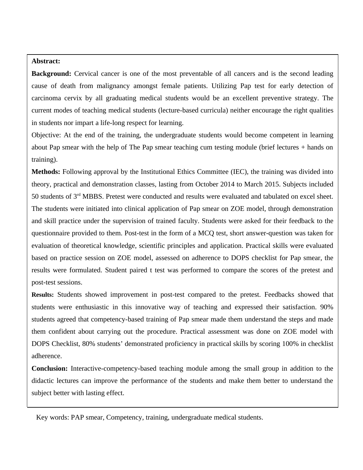#### **Abstract:**

**Background:** Cervical cancer is one of the most preventable of all cancers and is the second leading cause of death from malignancy amongst female patients. Utilizing Pap test for early detection of carcinoma cervix by all graduating medical students would be an excellent preventive strategy. The current modes of teaching medical students (lecture-based curricula) neither encourage the right qualities in students nor impart a life-long respect for learning.

Objective: At the end of the training, the undergraduate students would become competent in learning about Pap smear with the help of The Pap smear teaching cum testing module (brief lectures + hands on training).

**Methods:** Following approval by the Institutional Ethics Committee (IEC), the training was divided into theory, practical and demonstration classes, lasting from October 2014 to March 2015. Subjects included 50 students of 3<sup>rd</sup> MBBS. Pretest were conducted and results were evaluated and tabulated on excel sheet. The students were initiated into clinical application of Pap smear on ZOE model, through demonstration and skill practice under the supervision of trained faculty. Students were asked for their feedback to the questionnaire provided to them. Post-test in the form of a MCQ test, short answer-question was taken for evaluation of theoretical knowledge, scientific principles and application. Practical skills were evaluated based on practice session on ZOE model, assessed on adherence to DOPS checklist for Pap smear, the results were formulated. Student paired t test was performed to compare the scores of the pretest and post-test sessions.

**Results:** Students showed improvement in post-test compared to the pretest. Feedbacks showed that students were enthusiastic in this innovative way of teaching and expressed their satisfaction. 90% students agreed that competency-based training of Pap smear made them understand the steps and made them confident about carrying out the procedure. Practical assessment was done on ZOE model with DOPS Checklist, 80% students' demonstrated proficiency in practical skills by scoring 100% in checklist adherence.

**Conclusion:** Interactive-competency-based teaching module among the small group in addition to the didactic lectures can improve the performance of the students and make them better to understand the subject better with lasting effect.

Key words: PAP smear, Competency, training, undergraduate medical students.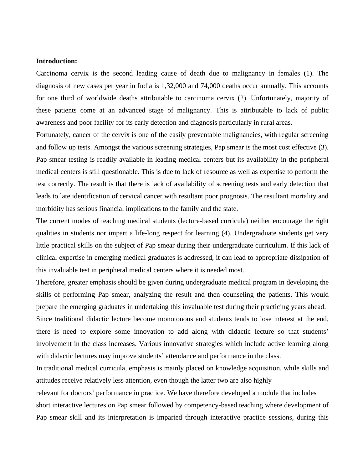#### **Introduction:**

Carcinoma cervix is the second leading cause of death due to malignancy in females (1). The diagnosis of new cases per year in India is 1,32,000 and 74,000 deaths occur annually. This accounts for one third of worldwide deaths attributable to carcinoma cervix (2). Unfortunately, majority of these patients come at an advanced stage of malignancy. This is attributable to lack of public awareness and poor facility for its early detection and diagnosis particularly in rural areas.

Fortunately, cancer of the cervix is one of the easily preventable malignancies, with regular screening and follow up tests. Amongst the various screening strategies, Pap smear is the most cost effective (3). Pap smear testing is readily available in leading medical centers but its availability in the peripheral medical centers is still questionable. This is due to lack of resource as well as expertise to perform the test correctly. The result is that there is lack of availability of screening tests and early detection that leads to late identification of cervical cancer with resultant poor prognosis. The resultant mortality and morbidity has serious financial implications to the family and the state.

The current modes of teaching medical students (lecture-based curricula) neither encourage the right qualities in students nor impart a life-long respect for learning (4). Undergraduate students get very little practical skills on the subject of Pap smear during their undergraduate curriculum. If this lack of clinical expertise in emerging medical graduates is addressed, it can lead to appropriate dissipation of this invaluable test in peripheral medical centers where it is needed most.

Therefore, greater emphasis should be given during undergraduate medical program in developing the skills of performing Pap smear, analyzing the result and then counseling the patients. This would prepare the emerging graduates in undertaking this invaluable test during their practicing years ahead. Since traditional didactic lecture become monotonous and students tends to lose interest at the end, there is need to explore some innovation to add along with didactic lecture so that students' involvement in the class increases. Various innovative strategies which include active learning along

with didactic lectures may improve students' attendance and performance in the class.

In traditional medical curricula, emphasis is mainly placed on knowledge acquisition, while skills and attitudes receive relatively less attention, even though the latter two are also highly

relevant for doctors' performance in practice. We have therefore developed a module that includes short interactive lectures on Pap smear followed by competency-based teaching where development of Pap smear skill and its interpretation is imparted through interactive practice sessions, during this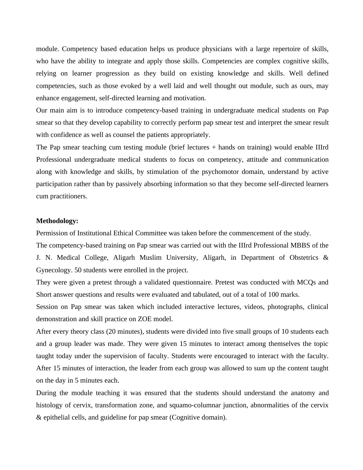module. Competency based education helps us produce physicians with a large repertoire of skills, who have the ability to integrate and apply those skills. Competencies are complex cognitive skills, relying on learner progression as they build on existing knowledge and skills. Well defined competencies, such as those evoked by a well laid and well thought out module, such as ours, may enhance engagement, self-directed learning and motivation.

Our main aim is to introduce competency-based training in undergraduate medical students on Pap smear so that they develop capability to correctly perform pap smear test and interpret the smear result with confidence as well as counsel the patients appropriately.

The Pap smear teaching cum testing module (brief lectures + hands on training) would enable IIIrd Professional undergraduate medical students to focus on competency, attitude and communication along with knowledge and skills, by stimulation of the psychomotor domain, understand by active participation rather than by passively absorbing information so that they become self-directed learners cum practitioners.

#### **Methodology:**

Permission of Institutional Ethical Committee was taken before the commencement of the study.

The competency-based training on Pap smear was carried out with the IIIrd Professional MBBS of the J. N. Medical College, Aligarh Muslim University, Aligarh, in Department of Obstetrics & Gynecology. 50 students were enrolled in the project.

They were given a pretest through a validated questionnaire. Pretest was conducted with MCQs and Short answer questions and results were evaluated and tabulated, out of a total of 100 marks.

Session on Pap smear was taken which included interactive lectures, videos, photographs, clinical demonstration and skill practice on ZOE model.

After every theory class (20 minutes), students were divided into five small groups of 10 students each and a group leader was made. They were given 15 minutes to interact among themselves the topic taught today under the supervision of faculty. Students were encouraged to interact with the faculty. After 15 minutes of interaction, the leader from each group was allowed to sum up the content taught on the day in 5 minutes each.

During the module teaching it was ensured that the students should understand the anatomy and histology of cervix, transformation zone, and squamo-columnar junction, abnormalities of the cervix & epithelial cells, and guideline for pap smear (Cognitive domain).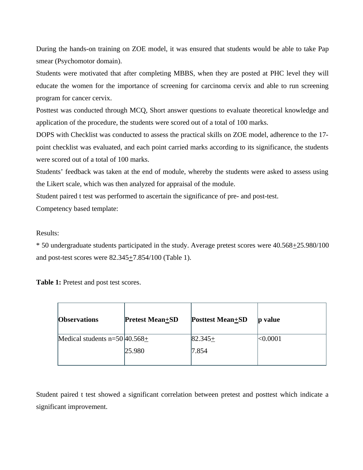During the hands-on training on ZOE model, it was ensured that students would be able to take Pap smear (Psychomotor domain).

Students were motivated that after completing MBBS, when they are posted at PHC level they will educate the women for the importance of screening for carcinoma cervix and able to run screening program for cancer cervix.

Posttest was conducted through MCQ, Short answer questions to evaluate theoretical knowledge and application of the procedure, the students were scored out of a total of 100 marks.

DOPS with Checklist was conducted to assess the practical skills on ZOE model, adherence to the 17 point checklist was evaluated, and each point carried marks according to its significance, the students were scored out of a total of 100 marks.

Students' feedback was taken at the end of module, whereby the students were asked to assess using the Likert scale, which was then analyzed for appraisal of the module.

Student paired t test was performed to ascertain the significance of pre- and post-test.

Competency based template:

## Results:

\* 50 undergraduate students participated in the study. Average pretest scores were 40.568+25.980/100 and post-test scores were  $82.345 \pm 7.854/100$  (Table 1).

**Table 1:** Pretest and post test scores.

| <b>Observations</b>                | <b>Pretest Mean+SD</b> | <b>Posttest Mean</b> +SD | value<br>D |
|------------------------------------|------------------------|--------------------------|------------|
| Medical students $n=50/40.568 \pm$ |                        | $ 82.345 \pm$            | < 0.0001   |
|                                    | 25.980                 | 7.854                    |            |

Student paired t test showed a significant correlation between pretest and posttest which indicate a significant improvement.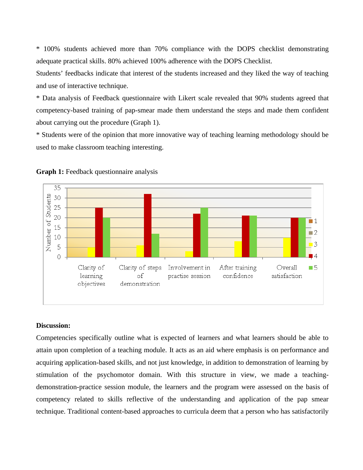\* 100% students achieved more than 70% compliance with the DOPS checklist demonstrating adequate practical skills. 80% achieved 100% adherence with the DOPS Checklist.

Students' feedbacks indicate that interest of the students increased and they liked the way of teaching and use of interactive technique.

\* Data analysis of Feedback questionnaire with Likert scale revealed that 90% students agreed that competency-based training of pap-smear made them understand the steps and made them confident about carrying out the procedure (Graph 1).

\* Students were of the opinion that more innovative way of teaching learning methodology should be used to make classroom teaching interesting.





#### **Discussion:**

Competencies specifically outline what is expected of learners and what learners should be able to attain upon completion of a teaching module. It acts as an aid where emphasis is on performance and acquiring application-based skills, and not just knowledge, in addition to demonstration of learning by stimulation of the psychomotor domain. With this structure in view, we made a teachingdemonstration-practice session module, the learners and the program were assessed on the basis of competency related to skills reflective of the understanding and application of the pap smear technique. Traditional content-based approaches to curricula deem that a person who has satisfactorily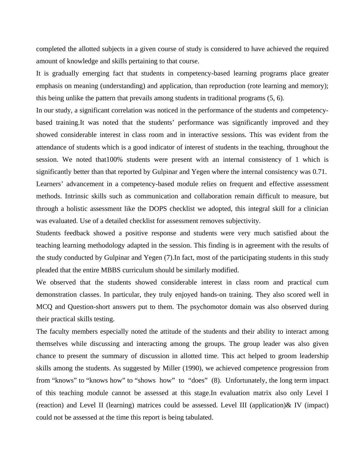completed the allotted subjects in a given course of study is considered to have achieved the required amount of knowledge and skills pertaining to that course.

It is gradually emerging fact that students in competency-based learning programs place greater emphasis on meaning (understanding) and application, than reproduction (rote learning and memory); this being unlike the pattern that prevails among students in traditional programs (5, 6).

In our study, a significant correlation was noticed in the performance of the students and competencybased training.It was noted that the students' performance was significantly improved and they showed considerable interest in class room and in interactive sessions. This was evident from the attendance of students which is a good indicator of interest of students in the teaching, throughout the session. We noted that100% students were present with an internal consistency of 1 which is significantly better than that reported by Gulpinar and Yegen where the internal consistency was 0.71.

Learners' advancement in a competency-based module relies on frequent and effective assessment methods. Intrinsic skills such as communication and collaboration remain difficult to measure, but through a holistic assessment like the DOPS checklist we adopted, this integral skill for a clinician was evaluated. Use of a detailed checklist for assessment removes subjectivity.

Students feedback showed a positive response and students were very much satisfied about the teaching learning methodology adapted in the session. This finding is in agreement with the results of the study conducted by Gulpinar and Yegen (7).In fact, most of the participating students in this study pleaded that the entire MBBS curriculum should be similarly modified.

We observed that the students showed considerable interest in class room and practical cum demonstration classes. In particular, they truly enjoyed hands-on training. They also scored well in MCQ and Question-short answers put to them. The psychomotor domain was also observed during their practical skills testing.

The faculty members especially noted the attitude of the students and their ability to interact among themselves while discussing and interacting among the groups. The group leader was also given chance to present the summary of discussion in allotted time. This act helped to groom leadership skills among the students. As suggested by Miller (1990), we achieved competence progression from from "knows" to "knows how" to "shows how" to "does" (8). Unfortunately, the long term impact of this teaching module cannot be assessed at this stage.In evaluation matrix also only Level I (reaction) and Level II (learning) matrices could be assessed. Level III (application)& IV (impact) could not be assessed at the time this report is being tabulated.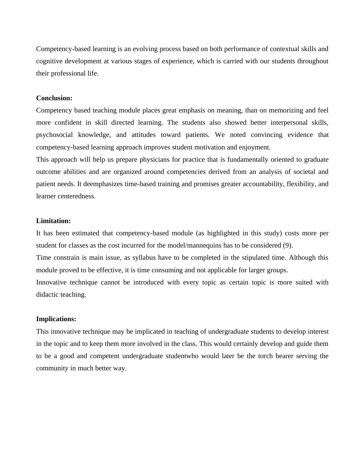Competency-based learning is an evolving process based on both performance of contextual skills and cognitive development at various stages of experience, which is carried with our students throughout their professional life.

#### **Conclusion:**

Competency based teaching module places great emphasis on meaning, than on memorizing and feel more confident in skill directed learning. The students also showed better interpersonal skills, psychosocial knowledge, and attitudes toward patients. We noted convincing evidence that competency-based learning approach improves student motivation and enjoyment.

This approach will help us prepare physicians for practice that is fundamentally oriented to graduate outcome abilities and are organized around competencies derived from an analysis of societal and patient needs. It deemphasizes time-based training and promises greater accountability, flexibility, and learner centeredness.

#### **Limitation:**

It has been estimated that competency-based module (as highlighted in this study) costs more per student for classes as the cost incurred for the model/mannequins has to be considered (9).

Time constrain is main issue, as syllabus have to be completed in the stipulated time. Although this module proved to be effective, it is time consuming and not applicable for larger groups.

Innovative technique cannot be introduced with every topic as certain topic is more suited with didactic teaching.

#### **Implications:**

This innovative technique may be implicated in teaching of undergraduate students to develop interest in the topic and to keep them more involved in the class. This would certainly develop and guide them to be a good and competent undergraduate studentwho would later be the torch bearer serving the community in much better way.